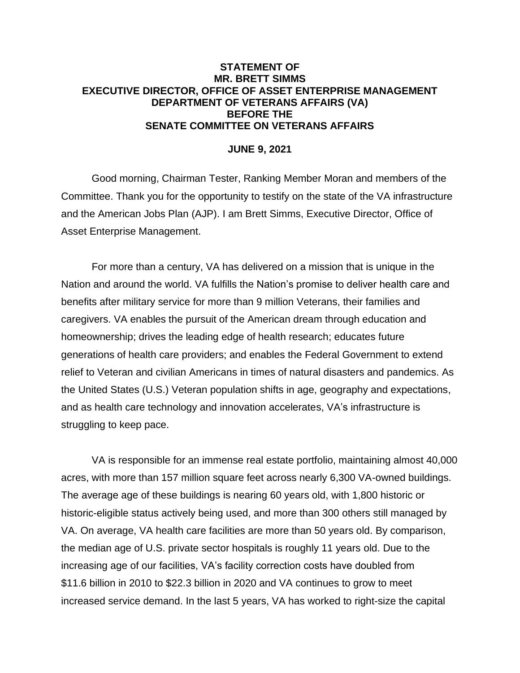#### **STATEMENT OF MR. BRETT SIMMS EXECUTIVE DIRECTOR, OFFICE OF ASSET ENTERPRISE MANAGEMENT DEPARTMENT OF VETERANS AFFAIRS (VA) BEFORE THE SENATE COMMITTEE ON VETERANS AFFAIRS**

#### **JUNE 9, 2021**

Good morning, Chairman Tester, Ranking Member Moran and members of the Committee. Thank you for the opportunity to testify on the state of the VA infrastructure and the American Jobs Plan (AJP). I am Brett Simms, Executive Director, Office of Asset Enterprise Management.

For more than a century, VA has delivered on a mission that is unique in the Nation and around the world. VA fulfills the Nation's promise to deliver health care and benefits after military service for more than 9 million Veterans, their families and caregivers. VA enables the pursuit of the American dream through education and homeownership; drives the leading edge of health research; educates future generations of health care providers; and enables the Federal Government to extend relief to Veteran and civilian Americans in times of natural disasters and pandemics. As the United States (U.S.) Veteran population shifts in age, geography and expectations, and as health care technology and innovation accelerates, VA's infrastructure is struggling to keep pace.

VA is responsible for an immense real estate portfolio, maintaining almost 40,000 acres, with more than 157 million square feet across nearly 6,300 VA-owned buildings. The average age of these buildings is nearing 60 years old, with 1,800 historic or historic-eligible status actively being used, and more than 300 others still managed by VA. On average, VA health care facilities are more than 50 years old. By comparison, the median age of U.S. private sector hospitals is roughly 11 years old. Due to the increasing age of our facilities, VA's facility correction costs have doubled from \$11.6 billion in 2010 to \$22.3 billion in 2020 and VA continues to grow to meet increased service demand. In the last 5 years, VA has worked to right-size the capital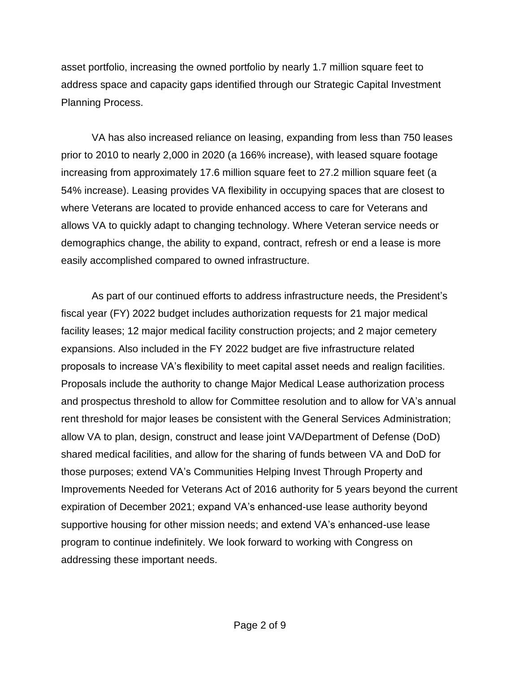asset portfolio, increasing the owned portfolio by nearly 1.7 million square feet to address space and capacity gaps identified through our Strategic Capital Investment Planning Process.

VA has also increased reliance on leasing, expanding from less than 750 leases prior to 2010 to nearly 2,000 in 2020 (a 166% increase), with leased square footage increasing from approximately 17.6 million square feet to 27.2 million square feet (a 54% increase). Leasing provides VA flexibility in occupying spaces that are closest to where Veterans are located to provide enhanced access to care for Veterans and allows VA to quickly adapt to changing technology. Where Veteran service needs or demographics change, the ability to expand, contract, refresh or end a lease is more easily accomplished compared to owned infrastructure.

As part of our continued efforts to address infrastructure needs, the President's fiscal year (FY) 2022 budget includes authorization requests for 21 major medical facility leases; 12 major medical facility construction projects; and 2 major cemetery expansions. Also included in the FY 2022 budget are five infrastructure related proposals to increase VA's flexibility to meet capital asset needs and realign facilities. Proposals include the authority to change Major Medical Lease authorization process and prospectus threshold to allow for Committee resolution and to allow for VA's annual rent threshold for major leases be consistent with the General Services Administration; allow VA to plan, design, construct and lease joint VA/Department of Defense (DoD) shared medical facilities, and allow for the sharing of funds between VA and DoD for those purposes; extend VA's Communities Helping Invest Through Property and Improvements Needed for Veterans Act of 2016 authority for 5 years beyond the current expiration of December 2021; expand VA's enhanced-use lease authority beyond supportive housing for other mission needs; and extend VA's enhanced-use lease program to continue indefinitely. We look forward to working with Congress on addressing these important needs.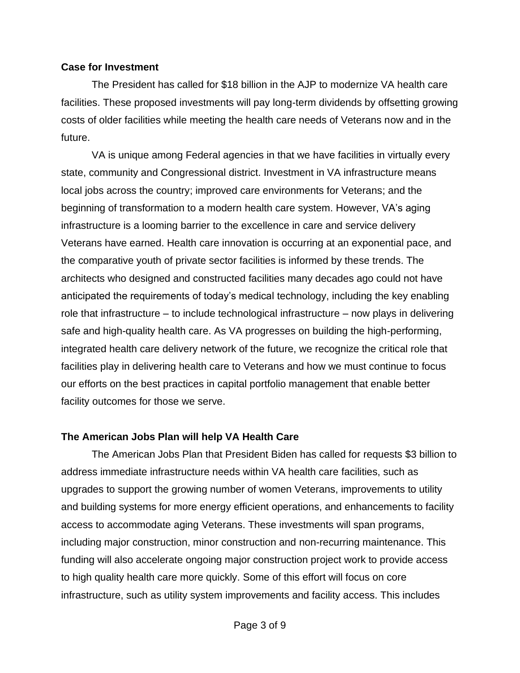#### **Case for Investment**

The President has called for \$18 billion in the AJP to modernize VA health care facilities. These proposed investments will pay long-term dividends by offsetting growing costs of older facilities while meeting the health care needs of Veterans now and in the future.

VA is unique among Federal agencies in that we have facilities in virtually every state, community and Congressional district. Investment in VA infrastructure means local jobs across the country; improved care environments for Veterans; and the beginning of transformation to a modern health care system. However, VA's aging infrastructure is a looming barrier to the excellence in care and service delivery Veterans have earned. Health care innovation is occurring at an exponential pace, and the comparative youth of private sector facilities is informed by these trends. The architects who designed and constructed facilities many decades ago could not have anticipated the requirements of today's medical technology, including the key enabling role that infrastructure – to include technological infrastructure – now plays in delivering safe and high-quality health care. As VA progresses on building the high-performing, integrated health care delivery network of the future, we recognize the critical role that facilities play in delivering health care to Veterans and how we must continue to focus our efforts on the best practices in capital portfolio management that enable better facility outcomes for those we serve.

# **The American Jobs Plan will help VA Health Care**

The American Jobs Plan that President Biden has called for requests \$3 billion to address immediate infrastructure needs within VA health care facilities, such as upgrades to support the growing number of women Veterans, improvements to utility and building systems for more energy efficient operations, and enhancements to facility access to accommodate aging Veterans. These investments will span programs, including major construction, minor construction and non-recurring maintenance. This funding will also accelerate ongoing major construction project work to provide access to high quality health care more quickly. Some of this effort will focus on core infrastructure, such as utility system improvements and facility access. This includes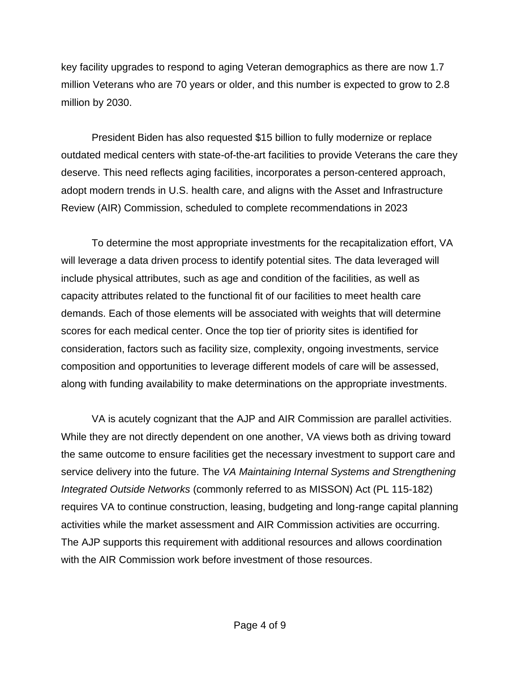key facility upgrades to respond to aging Veteran demographics as there are now 1.7 million Veterans who are 70 years or older, and this number is expected to grow to 2.8 million by 2030.

President Biden has also requested \$15 billion to fully modernize or replace outdated medical centers with state-of-the-art facilities to provide Veterans the care they deserve. This need reflects aging facilities, incorporates a person-centered approach, adopt modern trends in U.S. health care, and aligns with the Asset and Infrastructure Review (AIR) Commission, scheduled to complete recommendations in 2023

To determine the most appropriate investments for the recapitalization effort, VA will leverage a data driven process to identify potential sites. The data leveraged will include physical attributes, such as age and condition of the facilities, as well as capacity attributes related to the functional fit of our facilities to meet health care demands. Each of those elements will be associated with weights that will determine scores for each medical center. Once the top tier of priority sites is identified for consideration, factors such as facility size, complexity, ongoing investments, service composition and opportunities to leverage different models of care will be assessed, along with funding availability to make determinations on the appropriate investments.

VA is acutely cognizant that the AJP and AIR Commission are parallel activities. While they are not directly dependent on one another, VA views both as driving toward the same outcome to ensure facilities get the necessary investment to support care and service delivery into the future. The *VA Maintaining Internal Systems and Strengthening Integrated Outside Networks* (commonly referred to as MISSON) Act (PL 115-182) requires VA to continue construction, leasing, budgeting and long-range capital planning activities while the market assessment and AIR Commission activities are occurring. The AJP supports this requirement with additional resources and allows coordination with the AIR Commission work before investment of those resources.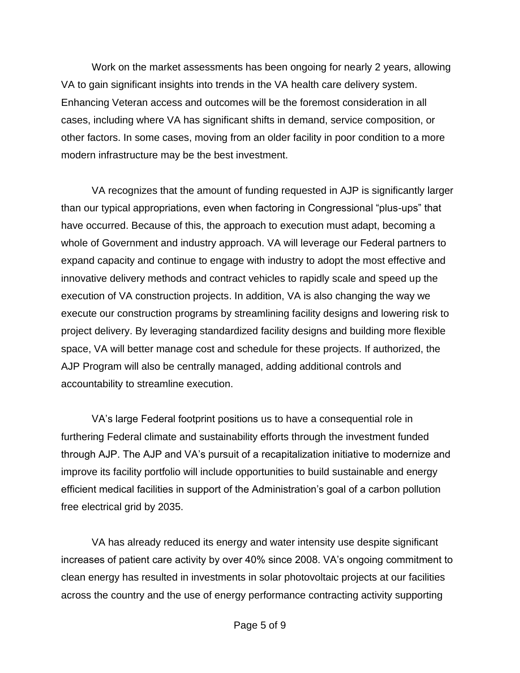Work on the market assessments has been ongoing for nearly 2 years, allowing VA to gain significant insights into trends in the VA health care delivery system. Enhancing Veteran access and outcomes will be the foremost consideration in all cases, including where VA has significant shifts in demand, service composition, or other factors. In some cases, moving from an older facility in poor condition to a more modern infrastructure may be the best investment.

VA recognizes that the amount of funding requested in AJP is significantly larger than our typical appropriations, even when factoring in Congressional "plus-ups" that have occurred. Because of this, the approach to execution must adapt, becoming a whole of Government and industry approach. VA will leverage our Federal partners to expand capacity and continue to engage with industry to adopt the most effective and innovative delivery methods and contract vehicles to rapidly scale and speed up the execution of VA construction projects. In addition, VA is also changing the way we execute our construction programs by streamlining facility designs and lowering risk to project delivery. By leveraging standardized facility designs and building more flexible space, VA will better manage cost and schedule for these projects. If authorized, the AJP Program will also be centrally managed, adding additional controls and accountability to streamline execution.

VA's large Federal footprint positions us to have a consequential role in furthering Federal climate and sustainability efforts through the investment funded through AJP. The AJP and VA's pursuit of a recapitalization initiative to modernize and improve its facility portfolio will include opportunities to build sustainable and energy efficient medical facilities in support of the Administration's goal of a carbon pollution free electrical grid by 2035.

VA has already reduced its energy and water intensity use despite significant increases of patient care activity by over 40% since 2008. VA's ongoing commitment to clean energy has resulted in investments in solar photovoltaic projects at our facilities across the country and the use of energy performance contracting activity supporting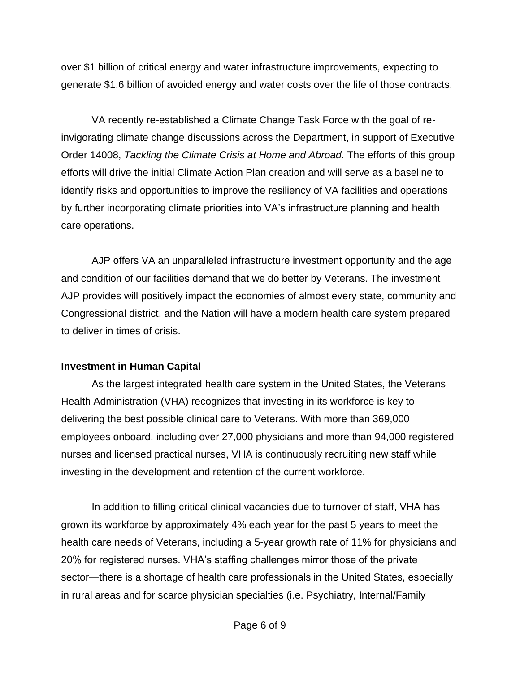over \$1 billion of critical energy and water infrastructure improvements, expecting to generate \$1.6 billion of avoided energy and water costs over the life of those contracts.

VA recently re-established a Climate Change Task Force with the goal of reinvigorating climate change discussions across the Department, in support of Executive Order 14008, *Tackling the Climate Crisis at Home and Abroad*. The efforts of this group efforts will drive the initial Climate Action Plan creation and will serve as a baseline to identify risks and opportunities to improve the resiliency of VA facilities and operations by further incorporating climate priorities into VA's infrastructure planning and health care operations.

AJP offers VA an unparalleled infrastructure investment opportunity and the age and condition of our facilities demand that we do better by Veterans. The investment AJP provides will positively impact the economies of almost every state, community and Congressional district, and the Nation will have a modern health care system prepared to deliver in times of crisis.

# **Investment in Human Capital**

As the largest integrated health care system in the United States, the Veterans Health Administration (VHA) recognizes that investing in its workforce is key to delivering the best possible clinical care to Veterans. With more than 369,000 employees onboard, including over 27,000 physicians and more than 94,000 registered nurses and licensed practical nurses, VHA is continuously recruiting new staff while investing in the development and retention of the current workforce.

In addition to filling critical clinical vacancies due to turnover of staff, VHA has grown its workforce by approximately 4% each year for the past 5 years to meet the health care needs of Veterans, including a 5-year growth rate of 11% for physicians and 20% for registered nurses. VHA's staffing challenges mirror those of the private sector—there is a shortage of health care professionals in the United States, especially in rural areas and for scarce physician specialties (i.e. Psychiatry, Internal/Family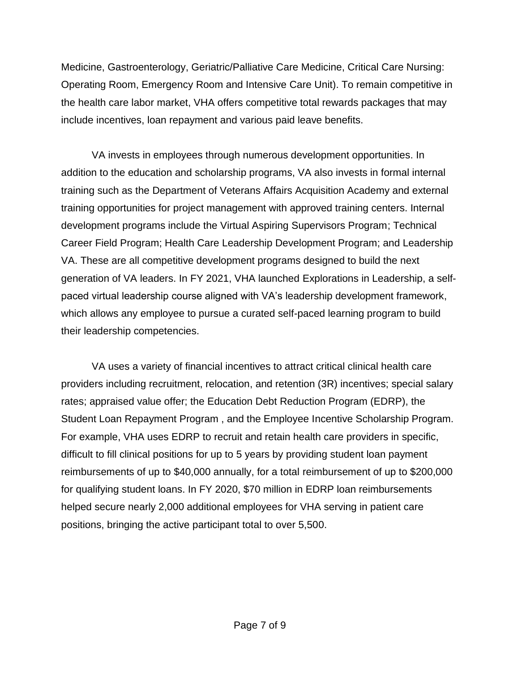Medicine, Gastroenterology, Geriatric/Palliative Care Medicine, Critical Care Nursing: Operating Room, Emergency Room and Intensive Care Unit). To remain competitive in the health care labor market, VHA offers competitive total rewards packages that may include incentives, loan repayment and various paid leave benefits.

VA invests in employees through numerous development opportunities. In addition to the education and scholarship programs, VA also invests in formal internal training such as the Department of Veterans Affairs Acquisition Academy and external training opportunities for project management with approved training centers. Internal development programs include the Virtual Aspiring Supervisors Program; Technical Career Field Program; Health Care Leadership Development Program; and Leadership VA. These are all competitive development programs designed to build the next generation of VA leaders. In FY 2021, VHA launched Explorations in Leadership, a selfpaced virtual leadership course aligned with VA's leadership development framework, which allows any employee to pursue a curated self-paced learning program to build their leadership competencies.

VA uses a variety of financial incentives to attract critical clinical health care providers including recruitment, relocation, and retention (3R) incentives; special salary rates; appraised value offer; the Education Debt Reduction Program (EDRP), the Student Loan Repayment Program , and the Employee Incentive Scholarship Program. For example, VHA uses EDRP to recruit and retain health care providers in specific, difficult to fill clinical positions for up to 5 years by providing student loan payment reimbursements of up to \$40,000 annually, for a total reimbursement of up to \$200,000 for qualifying student loans. In FY 2020, \$70 million in EDRP loan reimbursements helped secure nearly 2,000 additional employees for VHA serving in patient care positions, bringing the active participant total to over 5,500.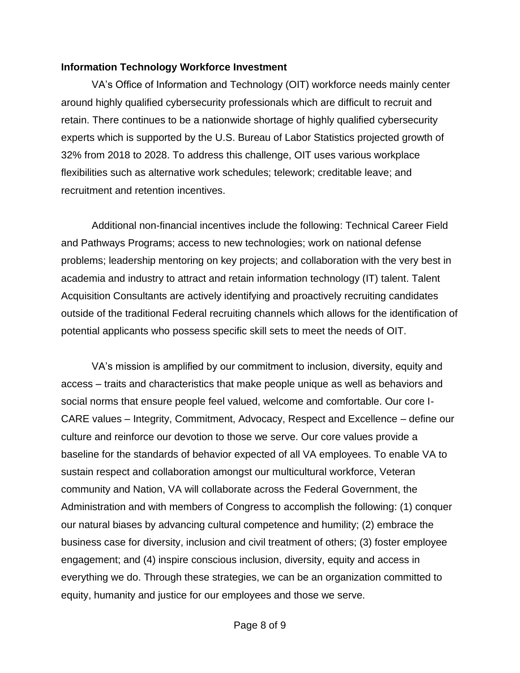#### **Information Technology Workforce Investment**

VA's Office of Information and Technology (OIT) workforce needs mainly center around highly qualified cybersecurity professionals which are difficult to recruit and retain. There continues to be a nationwide shortage of highly qualified cybersecurity experts which is supported by the U.S. Bureau of Labor Statistics projected growth of 32% from 2018 to 2028. To address this challenge, OIT uses various workplace flexibilities such as alternative work schedules; telework; creditable leave; and recruitment and retention incentives.

Additional non-financial incentives include the following: Technical Career Field and Pathways Programs; access to new technologies; work on national defense problems; leadership mentoring on key projects; and collaboration with the very best in academia and industry to attract and retain information technology (IT) talent. Talent Acquisition Consultants are actively identifying and proactively recruiting candidates outside of the traditional Federal recruiting channels which allows for the identification of potential applicants who possess specific skill sets to meet the needs of OIT.

VA's mission is amplified by our commitment to inclusion, diversity, equity and access – traits and characteristics that make people unique as well as behaviors and social norms that ensure people feel valued, welcome and comfortable. Our core I-CARE values – Integrity, Commitment, Advocacy, Respect and Excellence – define our culture and reinforce our devotion to those we serve. Our core values provide a baseline for the standards of behavior expected of all VA employees. To enable VA to sustain respect and collaboration amongst our multicultural workforce, Veteran community and Nation, VA will collaborate across the Federal Government, the Administration and with members of Congress to accomplish the following: (1) conquer our natural biases by advancing cultural competence and humility; (2) embrace the business case for diversity, inclusion and civil treatment of others; (3) foster employee engagement; and (4) inspire conscious inclusion, diversity, equity and access in everything we do. Through these strategies, we can be an organization committed to equity, humanity and justice for our employees and those we serve.